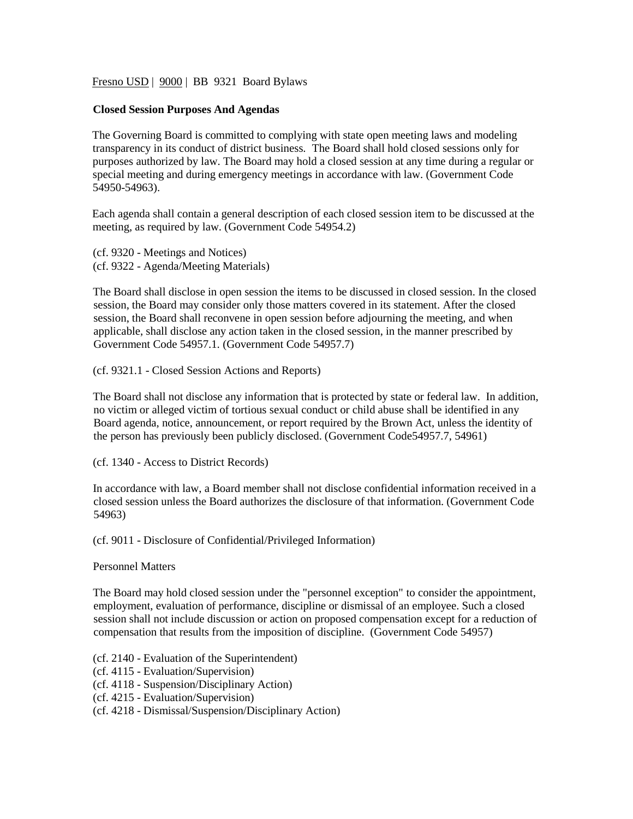Fresno USD | 9000 | BB 9321 Board Bylaws

## **Closed Session Purposes And Agendas**

The Governing Board is committed to complying with state open meeting laws and modeling transparency in its conduct of district business. The Board shall hold closed sessions only for purposes authorized by law. The Board may hold a closed session at any time during a regular or special meeting and during emergency meetings in accordance with law. (Government Code 54950-54963).

Each agenda shall contain a general description of each closed session item to be discussed at the meeting, as required by law. (Government Code 54954.2)

(cf. 9320 - Meetings and Notices) (cf. 9322 - Agenda/Meeting Materials)

The Board shall disclose in open session the items to be discussed in closed session. In the closed session, the Board may consider only those matters covered in its statement. After the closed session, the Board shall reconvene in open session before adjourning the meeting, and when applicable, shall disclose any action taken in the closed session, in the manner prescribed by Government Code 54957.1. (Government Code 54957.7)

(cf. 9321.1 - Closed Session Actions and Reports)

The Board shall not disclose any information that is protected by state or federal law. In addition, no victim or alleged victim of tortious sexual conduct or child abuse shall be identified in any Board agenda, notice, announcement, or report required by the Brown Act, unless the identity of the person has previously been publicly disclosed. (Government Code54957.7, 54961)

(cf. 1340 - Access to District Records)

In accordance with law, a Board member shall not disclose confidential information received in a closed session unless the Board authorizes the disclosure of that information. (Government Code 54963)

(cf. 9011 - Disclosure of Confidential/Privileged Information)

Personnel Matters

The Board may hold closed session under the "personnel exception" to consider the appointment, employment, evaluation of performance, discipline or dismissal of an employee. Such a closed session shall not include discussion or action on proposed compensation except for a reduction of compensation that results from the imposition of discipline. (Government Code 54957)

(cf. 2140 - Evaluation of the Superintendent)

- (cf. 4115 Evaluation/Supervision)
- (cf. 4118 Suspension/Disciplinary Action)
- (cf. 4215 Evaluation/Supervision)
- (cf. 4218 Dismissal/Suspension/Disciplinary Action)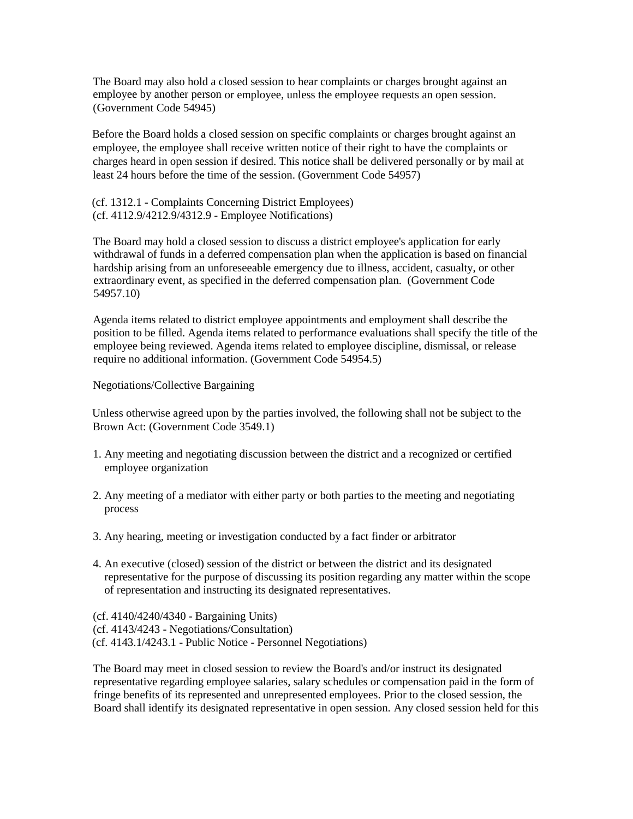The Board may also hold a closed session to hear complaints or charges brought against an employee by another person or employee, unless the employee requests an open session. (Government Code 54945)

Before the Board holds a closed session on specific complaints or charges brought against an employee, the employee shall receive written notice of their right to have the complaints or charges heard in open session if desired. This notice shall be delivered personally or by mail at least 24 hours before the time of the session. (Government Code 54957)

(cf. 1312.1 - Complaints Concerning District Employees) (cf. 4112.9/4212.9/4312.9 - Employee Notifications)

The Board may hold a closed session to discuss a district employee's application for early withdrawal of funds in a deferred compensation plan when the application is based on financial hardship arising from an unforeseeable emergency due to illness, accident, casualty, or other extraordinary event, as specified in the deferred compensation plan. (Government Code 54957.10)

Agenda items related to district employee appointments and employment shall describe the position to be filled. Agenda items related to performance evaluations shall specify the title of the employee being reviewed. Agenda items related to employee discipline, dismissal, or release require no additional information. (Government Code 54954.5)

Negotiations/Collective Bargaining

Unless otherwise agreed upon by the parties involved, the following shall not be subject to the Brown Act: (Government Code 3549.1)

- 1. Any meeting and negotiating discussion between the district and a recognized or certified employee organization
- 2. Any meeting of a mediator with either party or both parties to the meeting and negotiating process
- 3. Any hearing, meeting or investigation conducted by a fact finder or arbitrator
- 4. An executive (closed) session of the district or between the district and its designated representative for the purpose of discussing its position regarding any matter within the scope of representation and instructing its designated representatives.

(cf. 4140/4240/4340 - Bargaining Units) (cf. 4143/4243 - Negotiations/Consultation) (cf. 4143.1/4243.1 - Public Notice - Personnel Negotiations)

The Board may meet in closed session to review the Board's and/or instruct its designated representative regarding employee salaries, salary schedules or compensation paid in the form of fringe benefits of its represented and unrepresented employees. Prior to the closed session, the Board shall identify its designated representative in open session. Any closed session held for this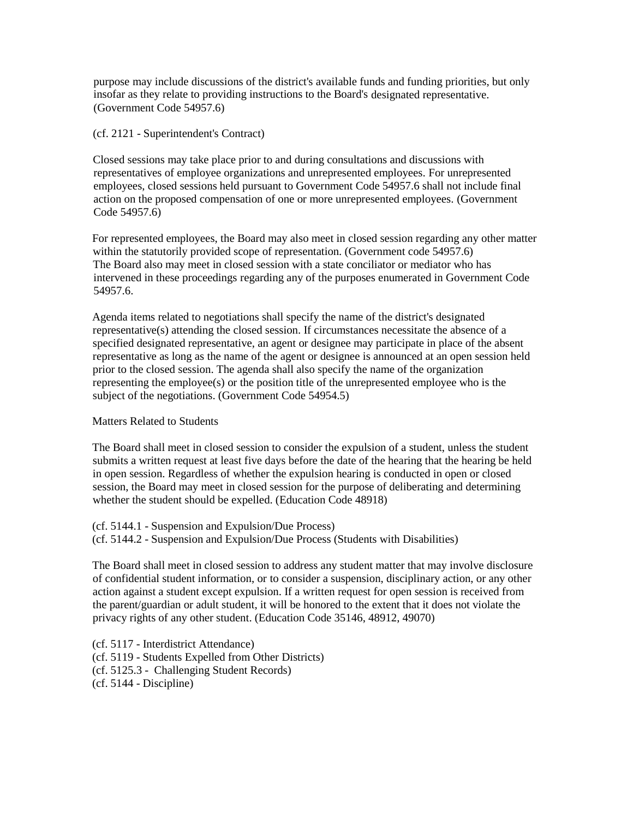purpose may include discussions of the district's available funds and funding priorities, but only insofar as they relate to providing instructions to the Board's designated representative. (Government Code 54957.6)

(cf. 2121 - Superintendent's Contract)

Closed sessions may take place prior to and during consultations and discussions with representatives of employee organizations and unrepresented employees. For unrepresented employees, closed sessions held pursuant to Government Code 54957.6 shall not include final action on the proposed compensation of one or more unrepresented employees. (Government Code 54957.6)

For represented employees, the Board may also meet in closed session regarding any other matter within the statutorily provided scope of representation. (Government code 54957.6) The Board also may meet in closed session with a state conciliator or mediator who has intervened in these proceedings regarding any of the purposes enumerated in Government Code 54957.6.

Agenda items related to negotiations shall specify the name of the district's designated representative(s) attending the closed session. If circumstances necessitate the absence of a specified designated representative, an agent or designee may participate in place of the absent representative as long as the name of the agent or designee is announced at an open session held prior to the closed session. The agenda shall also specify the name of the organization representing the employee(s) or the position title of the unrepresented employee who is the subject of the negotiations. (Government Code 54954.5)

## Matters Related to Students

The Board shall meet in closed session to consider the expulsion of a student, unless the student submits a written request at least five days before the date of the hearing that the hearing be held in open session. Regardless of whether the expulsion hearing is conducted in open or closed session, the Board may meet in closed session for the purpose of deliberating and determining whether the student should be expelled. (Education Code 48918)

(cf. 5144.1 - Suspension and Expulsion/Due Process)

(cf. 5144.2 - Suspension and Expulsion/Due Process (Students with Disabilities)

The Board shall meet in closed session to address any student matter that may involve disclosure of confidential student information, or to consider a suspension, disciplinary action, or any other action against a student except expulsion. If a written request for open session is received from the parent/guardian or adult student, it will be honored to the extent that it does not violate the privacy rights of any other student. (Education Code 35146, 48912, 49070)

(cf. 5117 - Interdistrict Attendance) (cf. 5119 - Students Expelled from Other Districts) (cf. 5125.3 - Challenging Student Records) (cf. 5144 - Discipline)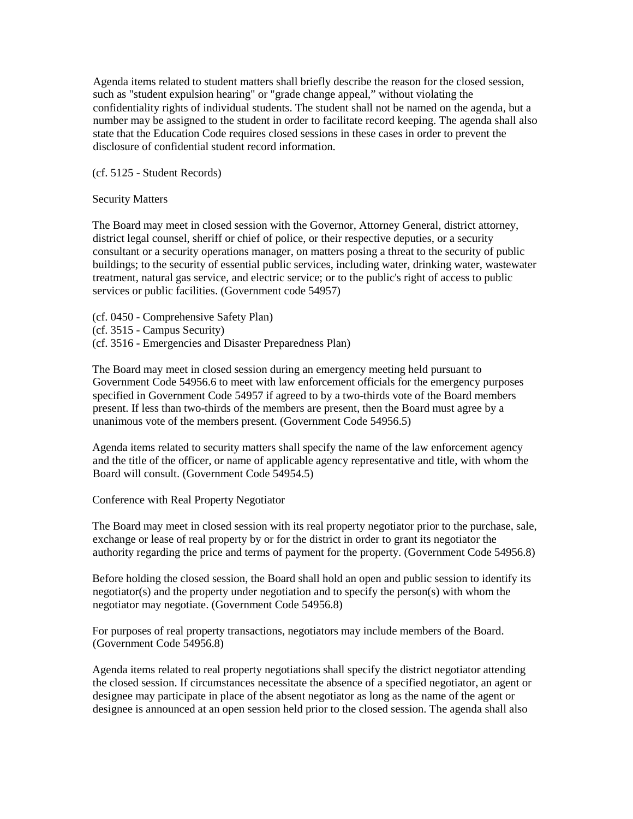Agenda items related to student matters shall briefly describe the reason for the closed session, such as "student expulsion hearing" or "grade change appeal," without violating the confidentiality rights of individual students. The student shall not be named on the agenda, but a number may be assigned to the student in order to facilitate record keeping. The agenda shall also state that the Education Code requires closed sessions in these cases in order to prevent the disclosure of confidential student record information.

(cf. 5125 - Student Records)

Security Matters

The Board may meet in closed session with the Governor, Attorney General, district attorney, district legal counsel, sheriff or chief of police, or their respective deputies, or a security consultant or a security operations manager, on matters posing a threat to the security of public buildings; to the security of essential public services, including water, drinking water, wastewater treatment, natural gas service, and electric service; or to the public's right of access to public services or public facilities. (Government code 54957)

(cf. 0450 - Comprehensive Safety Plan)

(cf. 3515 - Campus Security)

(cf. 3516 - Emergencies and Disaster Preparedness Plan)

The Board may meet in closed session during an emergency meeting held pursuant to Government Code 54956.6 to meet with law enforcement officials for the emergency purposes specified in Government Code 54957 if agreed to by a two-thirds vote of the Board members present. If less than two-thirds of the members are present, then the Board must agree by a unanimous vote of the members present. (Government Code 54956.5)

Agenda items related to security matters shall specify the name of the law enforcement agency and the title of the officer, or name of applicable agency representative and title, with whom the Board will consult. (Government Code 54954.5)

Conference with Real Property Negotiator

The Board may meet in closed session with its real property negotiator prior to the purchase, sale, exchange or lease of real property by or for the district in order to grant its negotiator the authority regarding the price and terms of payment for the property. (Government Code 54956.8)

Before holding the closed session, the Board shall hold an open and public session to identify its negotiator(s) and the property under negotiation and to specify the person(s) with whom the negotiator may negotiate. (Government Code 54956.8)

For purposes of real property transactions, negotiators may include members of the Board. (Government Code 54956.8)

Agenda items related to real property negotiations shall specify the district negotiator attending the closed session. If circumstances necessitate the absence of a specified negotiator, an agent or designee may participate in place of the absent negotiator as long as the name of the agent or designee is announced at an open session held prior to the closed session. The agenda shall also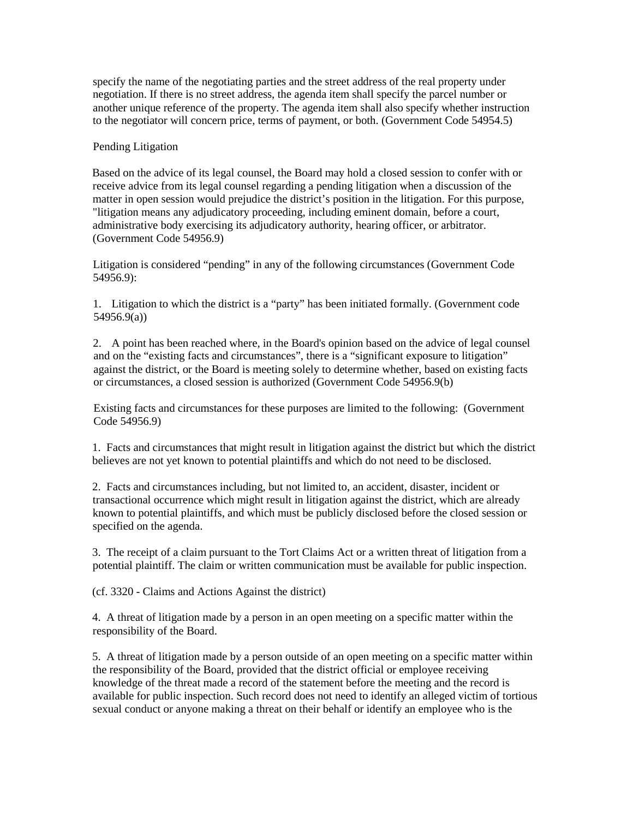specify the name of the negotiating parties and the street address of the real property under negotiation. If there is no street address, the agenda item shall specify the parcel number or another unique reference of the property. The agenda item shall also specify whether instruction to the negotiator will concern price, terms of payment, or both. (Government Code 54954.5)

## Pending Litigation

Based on the advice of its legal counsel, the Board may hold a closed session to confer with or receive advice from its legal counsel regarding a pending litigation when a discussion of the matter in open session would prejudice the district's position in the litigation. For this purpose, "litigation means any adjudicatory proceeding, including eminent domain, before a court, administrative body exercising its adjudicatory authority, hearing officer, or arbitrator. (Government Code 54956.9)

Litigation is considered "pending" in any of the following circumstances (Government Code 54956.9):

1. Litigation to which the district is a "party" has been initiated formally. (Government code 54956.9(a))

2. A point has been reached where, in the Board's opinion based on the advice of legal counsel and on the "existing facts and circumstances", there is a "significant exposure to litigation" against the district, or the Board is meeting solely to determine whether, based on existing facts or circumstances, a closed session is authorized (Government Code 54956.9(b)

Existing facts and circumstances for these purposes are limited to the following: (Government Code 54956.9)

1. Facts and circumstances that might result in litigation against the district but which the district believes are not yet known to potential plaintiffs and which do not need to be disclosed.

2. Facts and circumstances including, but not limited to, an accident, disaster, incident or transactional occurrence which might result in litigation against the district, which are already known to potential plaintiffs, and which must be publicly disclosed before the closed session or specified on the agenda.

3. The receipt of a claim pursuant to the Tort Claims Act or a written threat of litigation from a potential plaintiff. The claim or written communication must be available for public inspection.

(cf. 3320 - Claims and Actions Against the district)

4. A threat of litigation made by a person in an open meeting on a specific matter within the responsibility of the Board.

5. A threat of litigation made by a person outside of an open meeting on a specific matter within the responsibility of the Board, provided that the district official or employee receiving knowledge of the threat made a record of the statement before the meeting and the record is available for public inspection. Such record does not need to identify an alleged victim of tortious sexual conduct or anyone making a threat on their behalf or identify an employee who is the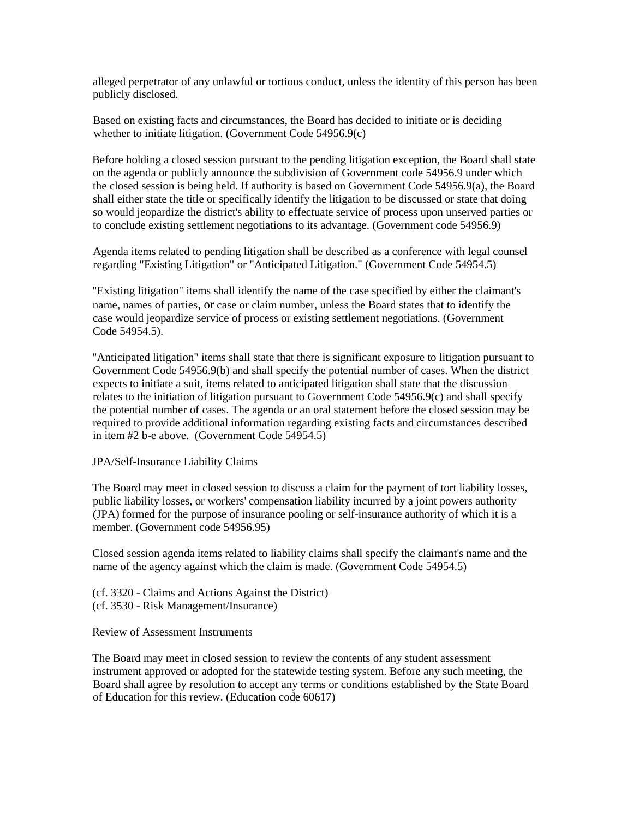alleged perpetrator of any unlawful or tortious conduct, unless the identity of this person has been publicly disclosed.

Based on existing facts and circumstances, the Board has decided to initiate or is deciding whether to initiate litigation. (Government Code 54956.9(c)

Before holding a closed session pursuant to the pending litigation exception, the Board shall state on the agenda or publicly announce the subdivision of Government code 54956.9 under which the closed session is being held. If authority is based on Government Code 54956.9(a), the Board shall either state the title or specifically identify the litigation to be discussed or state that doing so would jeopardize the district's ability to effectuate service of process upon unserved parties or to conclude existing settlement negotiations to its advantage. (Government code 54956.9)

Agenda items related to pending litigation shall be described as a conference with legal counsel regarding "Existing Litigation" or "Anticipated Litigation." (Government Code 54954.5)

"Existing litigation" items shall identify the name of the case specified by either the claimant's name, names of parties, or case or claim number, unless the Board states that to identify the case would jeopardize service of process or existing settlement negotiations. (Government Code 54954.5).

"Anticipated litigation" items shall state that there is significant exposure to litigation pursuant to Government Code 54956.9(b) and shall specify the potential number of cases. When the district expects to initiate a suit, items related to anticipated litigation shall state that the discussion relates to the initiation of litigation pursuant to Government Code 54956.9(c) and shall specify the potential number of cases. The agenda or an oral statement before the closed session may be required to provide additional information regarding existing facts and circumstances described in item #2 b-e above. (Government Code 54954.5)

## JPA/Self-Insurance Liability Claims

The Board may meet in closed session to discuss a claim for the payment of tort liability losses, public liability losses, or workers' compensation liability incurred by a joint powers authority (JPA) formed for the purpose of insurance pooling or self-insurance authority of which it is a member. (Government code 54956.95)

Closed session agenda items related to liability claims shall specify the claimant's name and the name of the agency against which the claim is made. (Government Code 54954.5)

(cf. 3320 - Claims and Actions Against the District) (cf. 3530 - Risk Management/Insurance)

Review of Assessment Instruments

The Board may meet in closed session to review the contents of any student assessment instrument approved or adopted for the statewide testing system. Before any such meeting, the Board shall agree by resolution to accept any terms or conditions established by the State Board of Education for this review. (Education code 60617)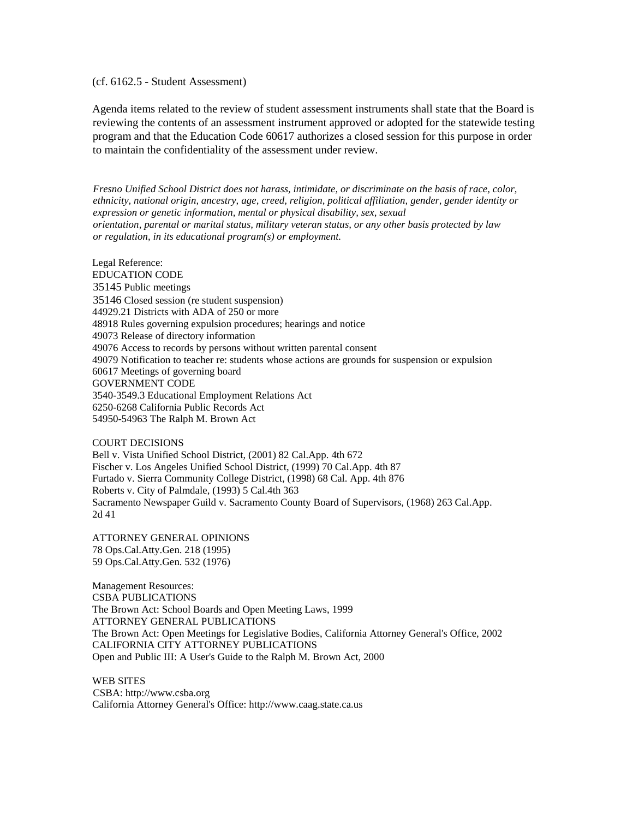(cf. 6162.5 - Student Assessment)

Agenda items related to the review of student assessment instruments shall state that the Board is reviewing the contents of an assessment instrument approved or adopted for the statewide testing program and that the Education Code 60617 authorizes a closed session for this purpose in order to maintain the confidentiality of the assessment under review.

*Fresno Unified School District does not harass, intimidate, or discriminate on the basis of race, color, ethnicity, national origin, ancestry, age, creed, religion, political affiliation, gender, gender identity or expression or genetic information, mental or physical disability, sex, sexual orientation, parental or marital status, military veteran status, or any other basis protected by law or regulation, in its educational program(s) or employment.*

Legal Reference: EDUCATION CODE 35145 Public meetings 35146 Closed session (re student suspension) 44929.21 Districts with ADA of 250 or more 48918 Rules governing expulsion procedures; hearings and notice 49073 Release of directory information 49076 Access to records by persons without written parental consent 49079 Notification to teacher re: students whose actions are grounds for suspension or expulsion 60617 Meetings of governing board GOVERNMENT CODE 3540-3549.3 Educational Employment Relations Act 6250-6268 California Public Records Act 54950-54963 The Ralph M. Brown Act

COURT DECISIONS Bell v. Vista Unified School District, (2001) 82 Cal.App. 4th 672 Fischer v. Los Angeles Unified School District, (1999) 70 Cal.App. 4th 87 Furtado v. Sierra Community College District, (1998) 68 Cal. App. 4th 876 Roberts v. City of Palmdale, (1993) 5 Cal.4th 363 Sacramento Newspaper Guild v. Sacramento County Board of Supervisors, (1968) 263 Cal.App. 2d 41

ATTORNEY GENERAL OPINIONS 78 Ops.Cal.Atty.Gen. 218 (1995) 59 Ops.Cal.Atty.Gen. 532 (1976)

Management Resources: CSBA PUBLICATIONS The Brown Act: School Boards and Open Meeting Laws, 1999 ATTORNEY GENERAL PUBLICATIONS The Brown Act: Open Meetings for Legislative Bodies, California Attorney General's Office, 2002 CALIFORNIA CITY ATTORNEY PUBLICATIONS Open and Public III: A User's Guide to the Ralph M. Brown Act, 2000

WEB SITES CSBA: http://www.csba.org California Attorney General's Office: http://www.caag.state.ca.us